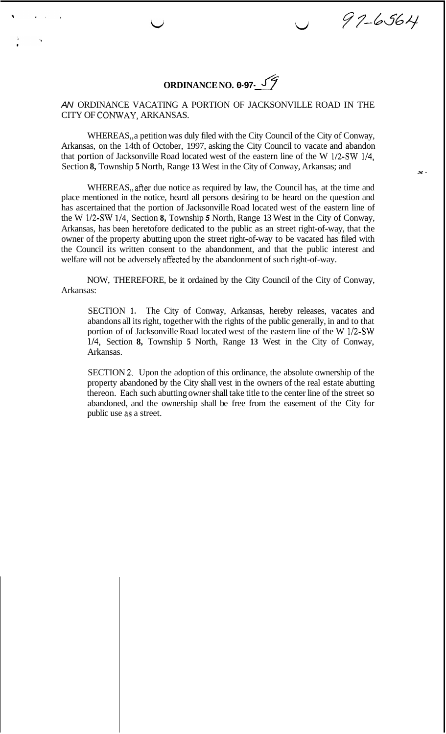**ORDINANCE NO. 0-97-** *yT* 

 $\cup$ 

97-6564

## *AN* ORDINANCE VACATING A PORTION OF JACKSONVILLE ROAD IN THE CITY OF CONWAY, ARKANSAS.

WHEREAS,, a petition was duly filed with the City Council of the City of Conway, Arkansas, on the 14th of October, 1997, asking the City Council to vacate and abandon that portion of Jacksonville Road located west of the eastern line of the W 1/2-SW 1/4, Section **8,** Township **5** North, Range **13** West in the City of Conway, Arkansas; and *s-*

WHEREAS,, after due notice as required by law, the Council has, at the time and place mentioned in the notice, heard all persons desiring to be heard on the question and has ascertained that the portion of Jacksonville Road located west of the eastern line of the W 1/2-SW 1/4, Section **8,** Township *5* North, Range 13 West in the City of Conway, Arkansas, has been heretofore dedicated to the public as an street right-of-way, that the owner of the property abutting upon the street right-of-way to be vacated has filed with the Council its written consent to the abandonment, and that the public interest and welfare will not be adversely affected by the abandonment of such right-of-way.

NOW, THEREFORE, be it ordained by the City Council of the City of Conway, Arkansas:

SECTION **1.** The City of Conway, Arkansas, hereby releases, vacates and abandons all its right, together with the rights of the public generally, in and to that portion of of Jacksonville Road located west of the eastern line of the W 1/2-SW 114, Section **8,** Township **5** North, Range **13** West in the City of Conway, Arkansas.

SECTION **2,.** Upon the adoption of this ordinance, the absolute ownership of the property abandoned by the City shall vest in the owners of the real estate abutting thereon. Each such abutting owner shall take title to the center line of the street so abandoned, and the ownership shall be free from the easement of the City for public use as a street.